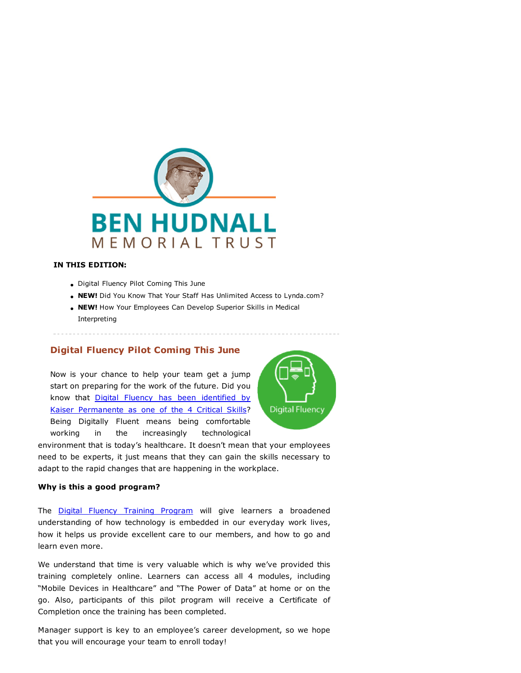

#### IN THIS EDITION:

- Digital Fluency Pilot Coming This June
- . NEW! Did You Know That Your Staff Has Unlimited Access to Lynda.com?
- NEW! How Your Employees Can Develop Superior Skills in Medical Interpreting

# Digital Fluency Pilot Coming This June

Now is your chance to help your team get a jump start on preparing for the work of the future. Did you know that Digital Fluency has been identified by [Kaiser Permanente as one of the 4 Critical Skills?](https://t.e2ma.net/click/zlskhb/z9eipq/3ke86e) Being Digitally Fluent means being comfortable working in the increasingly technological



environment that is today's healthcare. It doesn't mean that your employees need to be experts, it just means that they can gain the skills necessary to adapt to the rapid changes that are happening in the workplace.

### Why is this a good program?

The **Digital Fluency Training Program** will give learners a broadened understanding of how technology is embedded in our everyday work lives, how it helps us provide excellent care to our members, and how to go and learn even more.

We understand that time is very valuable which is why we've provided this training completely online. Learners can access all 4 modules, including "Mobile Devices in Healthcare" and "The Power of Data" at home or on the go. Also, participants of this pilot program will receive a Certificate of Completion once the training has been completed.

Manager support is key to an employee's career development, so we hope that you will encourage your team to enroll today!